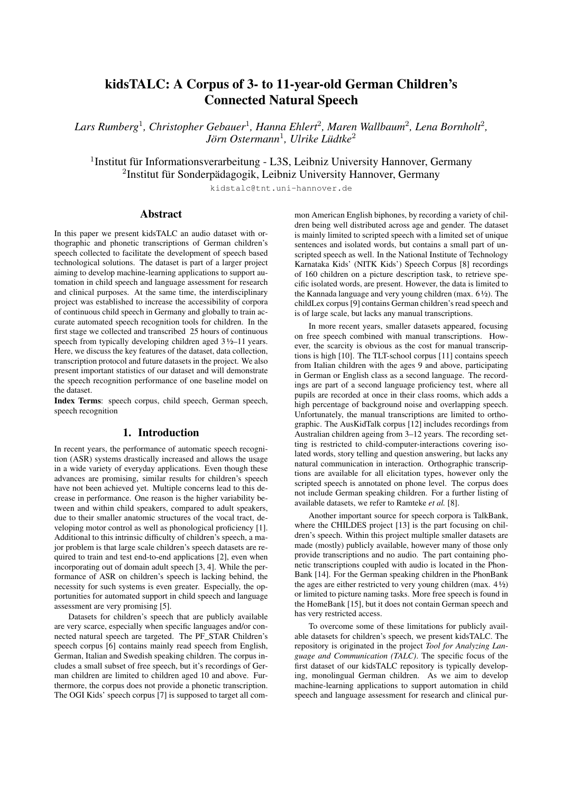# kidsTALC: A Corpus of 3- to 11-year-old German Children's Connected Natural Speech

*Lars Rumberg*<sup>1</sup> *, Christopher Gebauer*<sup>1</sup> *, Hanna Ehlert*<sup>2</sup> *, Maren Wallbaum*<sup>2</sup> *, Lena Bornholt*<sup>2</sup> *, Jörn Ostermann*<sup>1</sup> *, Ulrike Lüdtke*<sup>2</sup>

<sup>1</sup>Institut für Informationsverarbeitung - L3S, Leibniz University Hannover, Germany <sup>2</sup>Institut für Sonderpädagogik, Leibniz University Hannover, Germany

kidstalc@tnt.uni-hannover.de

## Abstract

In this paper we present kidsTALC an audio dataset with orthographic and phonetic transcriptions of German children's speech collected to facilitate the development of speech based technological solutions. The dataset is part of a larger project aiming to develop machine-learning applications to support automation in child speech and language assessment for research and clinical purposes. At the same time, the interdisciplinary project was established to increase the accessibility of corpora of continuous child speech in Germany and globally to train accurate automated speech recognition tools for children. In the first stage we collected and transcribed 25 hours of continuous speech from typically developing children aged  $3\frac{1}{2}$ –11 years. Here, we discuss the key features of the dataset, data collection, transcription protocol and future datasets in the project. We also present important statistics of our dataset and will demonstrate the speech recognition performance of one baseline model on the dataset.

Index Terms: speech corpus, child speech, German speech, speech recognition

## 1. Introduction

In recent years, the performance of automatic speech recognition (ASR) systems drastically increased and allows the usage in a wide variety of everyday applications. Even though these advances are promising, similar results for children's speech have not been achieved yet. Multiple concerns lead to this decrease in performance. One reason is the higher variability between and within child speakers, compared to adult speakers, due to their smaller anatomic structures of the vocal tract, developing motor control as well as phonological proficiency [1]. Additional to this intrinsic difficulty of children's speech, a major problem is that large scale children's speech datasets are required to train and test end-to-end applications [2], even when incorporating out of domain adult speech [3, 4]. While the performance of ASR on children's speech is lacking behind, the necessity for such systems is even greater. Especially, the opportunities for automated support in child speech and language assessment are very promising [5].

Datasets for children's speech that are publicly available are very scarce, especially when specific languages and/or connected natural speech are targeted. The PF\_STAR Children's speech corpus [6] contains mainly read speech from English, German, Italian and Swedish speaking children. The corpus includes a small subset of free speech, but it's recordings of German children are limited to children aged 10 and above. Furthermore, the corpus does not provide a phonetic transcription. The OGI Kids' speech corpus [7] is supposed to target all com-

mon American English biphones, by recording a variety of children being well distributed across age and gender. The dataset is mainly limited to scripted speech with a limited set of unique sentences and isolated words, but contains a small part of unscripted speech as well. In the National Institute of Technology Karnataka Kids' (NITK Kids') Speech Corpus [8] recordings of 160 children on a picture description task, to retrieve specific isolated words, are present. However, the data is limited to the Kannada language and very young children (max. 6 ½). The childLex corpus [9] contains German children's read speech and is of large scale, but lacks any manual transcriptions.

In more recent years, smaller datasets appeared, focusing on free speech combined with manual transcriptions. However, the scarcity is obvious as the cost for manual transcriptions is high [10]. The TLT-school corpus [11] contains speech from Italian children with the ages 9 and above, participating in German or English class as a second language. The recordings are part of a second language proficiency test, where all pupils are recorded at once in their class rooms, which adds a high percentage of background noise and overlapping speech. Unfortunately, the manual transcriptions are limited to orthographic. The AusKidTalk corpus [12] includes recordings from Australian children ageing from 3–12 years. The recording setting is restricted to child-computer-interactions covering isolated words, story telling and question answering, but lacks any natural communication in interaction. Orthographic transcriptions are available for all elicitation types, however only the scripted speech is annotated on phone level. The corpus does not include German speaking children. For a further listing of available datasets, we refer to Ramteke *et al.* [8].

Another important source for speech corpora is TalkBank, where the CHILDES project [13] is the part focusing on children's speech. Within this project multiple smaller datasets are made (mostly) publicly available, however many of those only provide transcriptions and no audio. The part containing phonetic transcriptions coupled with audio is located in the Phon-Bank [14]. For the German speaking children in the PhonBank the ages are either restricted to very young children (max.  $4\frac{1}{2}$ ) or limited to picture naming tasks. More free speech is found in the HomeBank [15], but it does not contain German speech and has very restricted access.

To overcome some of these limitations for publicly available datasets for children's speech, we present kidsTALC. The repository is originated in the project *Tool for Analyzing Language and Communication (TALC)*. The specific focus of the first dataset of our kidsTALC repository is typically developing, monolingual German children. As we aim to develop machine-learning applications to support automation in child speech and language assessment for research and clinical pur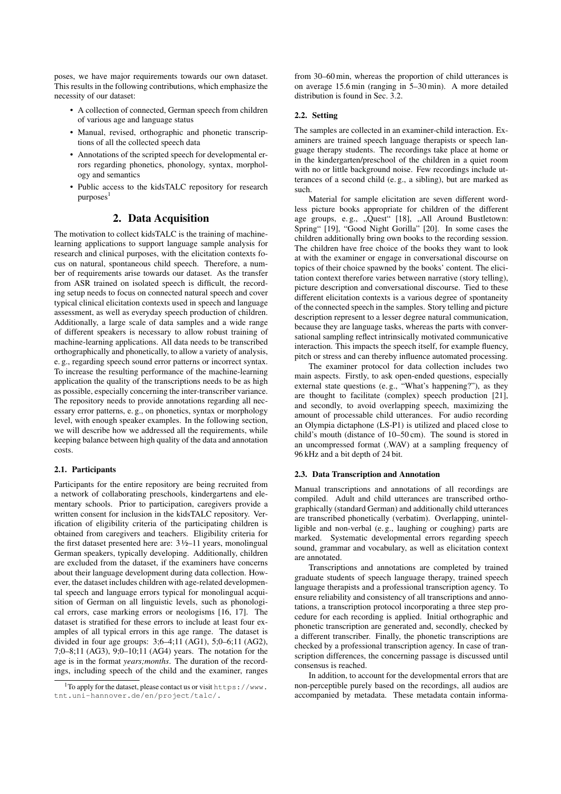poses, we have major requirements towards our own dataset. This results in the following contributions, which emphasize the necessity of our dataset:

- A collection of connected, German speech from children of various age and language status
- Manual, revised, orthographic and phonetic transcriptions of all the collected speech data
- Annotations of the scripted speech for developmental errors regarding phonetics, phonology, syntax, morphology and semantics
- Public access to the kidsTALC repository for research purposes<sup>1</sup>

## 2. Data Acquisition

The motivation to collect kidsTALC is the training of machinelearning applications to support language sample analysis for research and clinical purposes, with the elicitation contexts focus on natural, spontaneous child speech. Therefore, a number of requirements arise towards our dataset. As the transfer from ASR trained on isolated speech is difficult, the recording setup needs to focus on connected natural speech and cover typical clinical elicitation contexts used in speech and language assessment, as well as everyday speech production of children. Additionally, a large scale of data samples and a wide range of different speakers is necessary to allow robust training of machine-learning applications. All data needs to be transcribed orthographically and phonetically, to allow a variety of analysis, e. g., regarding speech sound error patterns or incorrect syntax. To increase the resulting performance of the machine-learning application the quality of the transcriptions needs to be as high as possible, especially concerning the inter-transcriber variance. The repository needs to provide annotations regarding all necessary error patterns, e. g., on phonetics, syntax or morphology level, with enough speaker examples. In the following section, we will describe how we addressed all the requirements, while keeping balance between high quality of the data and annotation costs.

#### 2.1. Participants

Participants for the entire repository are being recruited from a network of collaborating preschools, kindergartens and elementary schools. Prior to participation, caregivers provide a written consent for inclusion in the kidsTALC repository. Verification of eligibility criteria of the participating children is obtained from caregivers and teachers. Eligibility criteria for the first dataset presented here are:  $3\frac{1}{2}$ –11 years, monolingual German speakers, typically developing. Additionally, children are excluded from the dataset, if the examiners have concerns about their language development during data collection. However, the dataset includes children with age-related developmental speech and language errors typical for monolingual acquisition of German on all linguistic levels, such as phonological errors, case marking errors or neologisms [16, 17]. The dataset is stratified for these errors to include at least four examples of all typical errors in this age range. The dataset is divided in four age groups: 3;6–4;11 (AG1), 5;0–6;11 (AG2), 7;0–8;11 (AG3), 9;0–10;11 (AG4) years. The notation for the age is in the format *years;months*. The duration of the recordings, including speech of the child and the examiner, ranges

from 30–60 min, whereas the proportion of child utterances is on average 15.6 min (ranging in 5–30 min). A more detailed distribution is found in Sec. 3.2.

#### 2.2. Setting

The samples are collected in an examiner-child interaction. Examiners are trained speech language therapists or speech language therapy students. The recordings take place at home or in the kindergarten/preschool of the children in a quiet room with no or little background noise. Few recordings include utterances of a second child (e. g., a sibling), but are marked as such.

Material for sample elicitation are seven different wordless picture books appropriate for children of the different age groups, e.g., "Quest" [18], "All Around Bustletown: Spring" [19], "Good Night Gorilla" [20]. In some cases the children additionally bring own books to the recording session. The children have free choice of the books they want to look at with the examiner or engage in conversational discourse on topics of their choice spawned by the books' content. The elicitation context therefore varies between narrative (story telling), picture description and conversational discourse. Tied to these different elicitation contexts is a various degree of spontaneity of the connected speech in the samples. Story telling and picture description represent to a lesser degree natural communication, because they are language tasks, whereas the parts with conversational sampling reflect intrinsically motivated communicative interaction. This impacts the speech itself, for example fluency, pitch or stress and can thereby influence automated processing.

The examiner protocol for data collection includes two main aspects. Firstly, to ask open-ended questions, especially external state questions (e. g., "What's happening?"), as they are thought to facilitate (complex) speech production [21], and secondly, to avoid overlapping speech, maximizing the amount of processable child utterances. For audio recording an Olympia dictaphone (LS-P1) is utilized and placed close to child's mouth (distance of 10–50 cm). The sound is stored in an uncompressed format (.WAV) at a sampling frequency of 96 kHz and a bit depth of 24 bit.

### 2.3. Data Transcription and Annotation

Manual transcriptions and annotations of all recordings are compiled. Adult and child utterances are transcribed orthographically (standard German) and additionally child utterances are transcribed phonetically (verbatim). Overlapping, unintelligible and non-verbal (e. g., laughing or coughing) parts are marked. Systematic developmental errors regarding speech sound, grammar and vocabulary, as well as elicitation context are annotated.

Transcriptions and annotations are completed by trained graduate students of speech language therapy, trained speech language therapists and a professional transcription agency. To ensure reliability and consistency of all transcriptions and annotations, a transcription protocol incorporating a three step procedure for each recording is applied. Initial orthographic and phonetic transcription are generated and, secondly, checked by a different transcriber. Finally, the phonetic transcriptions are checked by a professional transcription agency. In case of transcription differences, the concerning passage is discussed until consensus is reached.

In addition, to account for the developmental errors that are non-perceptible purely based on the recordings, all audios are accompanied by metadata. These metadata contain informa-

<sup>&</sup>lt;sup>1</sup>To apply for the dataset, please contact us or visit https://www. tnt.uni-hannover.de/en/project/talc/.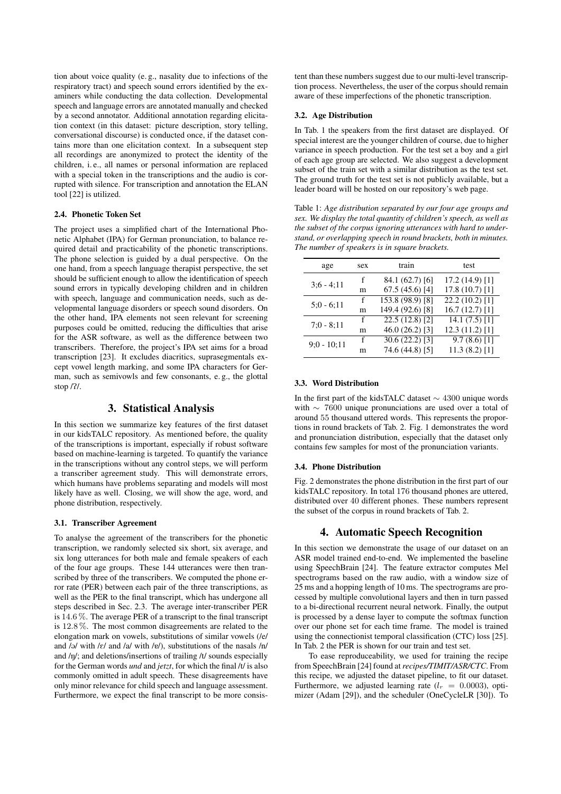tion about voice quality (e. g., nasality due to infections of the respiratory tract) and speech sound errors identified by the examiners while conducting the data collection. Developmental speech and language errors are annotated manually and checked by a second annotator. Additional annotation regarding elicitation context (in this dataset: picture description, story telling, conversational discourse) is conducted once, if the dataset contains more than one elicitation context. In a subsequent step all recordings are anonymized to protect the identity of the children, i. e., all names or personal information are replaced with a special token in the transcriptions and the audio is corrupted with silence. For transcription and annotation the ELAN tool [22] is utilized.

#### 2.4. Phonetic Token Set

The project uses a simplified chart of the International Phonetic Alphabet (IPA) for German pronunciation, to balance required detail and practicability of the phonetic transcriptions. The phone selection is guided by a dual perspective. On the one hand, from a speech language therapist perspective, the set should be sufficient enough to allow the identification of speech sound errors in typically developing children and in children with speech, language and communication needs, such as developmental language disorders or speech sound disorders. On the other hand, IPA elements not seen relevant for screening purposes could be omitted, reducing the difficulties that arise for the ASR software, as well as the difference between two transcribers. Therefore, the project's IPA set aims for a broad transcription [23]. It excludes diacritics, suprasegmentals except vowel length marking, and some IPA characters for German, such as semivowls and few consonants, e. g., the glottal stop /P/.

## 3. Statistical Analysis

In this section we summarize key features of the first dataset in our kidsTALC repository. As mentioned before, the quality of the transcriptions is important, especially if robust software based on machine-learning is targeted. To quantify the variance in the transcriptions without any control steps, we will perform a transcriber agreement study. This will demonstrate errors, which humans have problems separating and models will most likely have as well. Closing, we will show the age, word, and phone distribution, respectively.

#### 3.1. Transcriber Agreement

To analyse the agreement of the transcribers for the phonetic transcription, we randomly selected six short, six average, and six long utterances for both male and female speakers of each of the four age groups. These 144 utterances were then transcribed by three of the transcribers. We computed the phone error rate (PER) between each pair of the three transcriptions, as well as the PER to the final transcript, which has undergone all steps described in Sec. 2.3. The average inter-transcriber PER is 14.6 %. The average PER of a transcript to the final transcript is 12.8 %. The most common disagreements are related to the elongation mark on vowels, substitutions of similar vowels (/e/ and  $\sqrt{a}$  with  $\sqrt{e}$  and  $\sqrt{a}$  with  $\sqrt{e}$ , substitutions of the nasals  $\sqrt{n}$ and  $/n/$ ; and deletions/insertions of trailing  $/t/$  sounds especially for the German words *und* and *jetzt*, for which the final /t/ is also commonly omitted in adult speech. These disagreements have only minor relevance for child speech and language assessment. Furthermore, we expect the final transcript to be more consistent than these numbers suggest due to our multi-level transcription process. Nevertheless, the user of the corpus should remain aware of these imperfections of the phonetic transcription.

#### 3.2. Age Distribution

In Tab. 1 the speakers from the first dataset are displayed. Of special interest are the younger children of course, due to higher variance in speech production. For the test set a boy and a girl of each age group are selected. We also suggest a development subset of the train set with a similar distribution as the test set. The ground truth for the test set is not publicly available, but a leader board will be hosted on our repository's web page.

Table 1: *Age distribution separated by our four age groups and sex. We display the total quantity of children's speech, as well as the subset of the corpus ignoring utterances with hard to understand, or overlapping speech in round brackets, both in minutes. The number of speakers is in square brackets.*

| age           | sex | train             | test             |  |
|---------------|-----|-------------------|------------------|--|
| $3:6 - 4:11$  | f   | 84.1 (62.7) [6]   | $17.2(14.9)$ [1] |  |
|               | m   | 67.5(45.6)[4]     | 17.8(10.7)[1]    |  |
| $5:0 - 6:11$  | f   | 153.8 (98.9) [8]  | $22.2(10.2)$ [1] |  |
|               | m   | 149.4 (92.6) [8]  | 16.7(12.7)[1]    |  |
| $7:0 - 8:11$  | f   | 22.5(12.8)[2]     | 14.1 $(7.5)$ [1] |  |
|               | m   | 46.0 $(26.2)$ [3] | 12.3(11.2)[1]    |  |
| $9:0 - 10:11$ | f   | 30.6(22.2)[3]     | 9.7(8.6)[1]      |  |
|               | m   | 74.6 (44.8) [5]   | 11.3(8.2)[1]     |  |

#### 3.3. Word Distribution

In the first part of the kidsTALC dataset ∼ 4300 unique words with ∼ 7600 unique pronunciations are used over a total of around 55 thousand uttered words. This represents the proportions in round brackets of Tab. 2. Fig. 1 demonstrates the word and pronunciation distribution, especially that the dataset only contains few samples for most of the pronunciation variants.

#### 3.4. Phone Distribution

Fig. 2 demonstrates the phone distribution in the first part of our kidsTALC repository. In total 176 thousand phones are uttered, distributed over 40 different phones. These numbers represent the subset of the corpus in round brackets of Tab. 2.

### 4. Automatic Speech Recognition

In this section we demonstrate the usage of our dataset on an ASR model trained end-to-end. We implemented the baseline using SpeechBrain [24]. The feature extractor computes Mel spectrograms based on the raw audio, with a window size of 25 ms and a hopping length of 10 ms. The spectrograms are processed by multiple convolutional layers and then in turn passed to a bi-directional recurrent neural network. Finally, the output is processed by a dense layer to compute the softmax function over our phone set for each time frame. The model is trained using the connectionist temporal classification (CTC) loss [25]. In Tab. 2 the PER is shown for our train and test set.

To ease reproduceability, we used for training the recipe from SpeechBrain [24] found at *recipes/TIMIT/ASR/CTC*. From this recipe, we adjusted the dataset pipeline, to fit our dataset. Furthermore, we adjusted learning rate  $(l_r = 0.0003)$ , optimizer (Adam [29]), and the scheduler (OneCycleLR [30]). To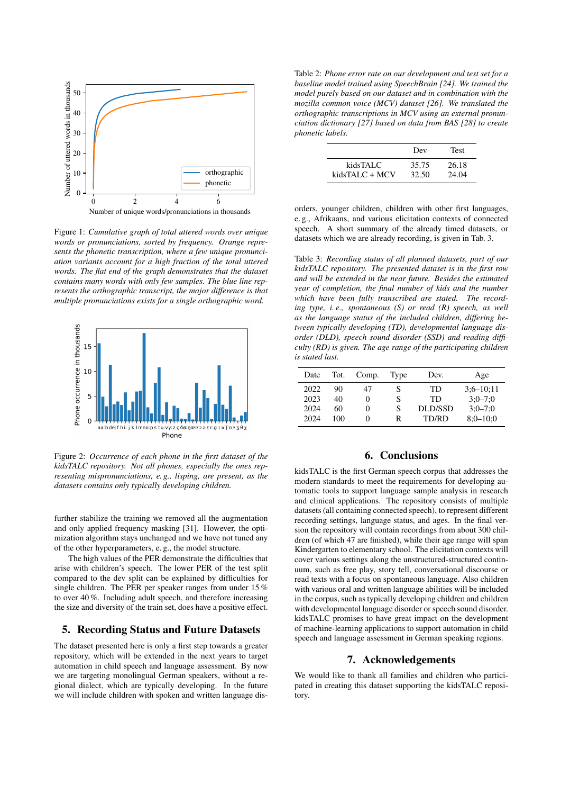

Figure 1: *Cumulative graph of total uttered words over unique words or pronunciations, sorted by frequency. Orange represents the phonetic transcription, where a few unique pronunciation variants account for a high fraction of the total uttered words. The flat end of the graph demonstrates that the dataset contains many words with only few samples. The blue line represents the orthographic transcript, the major difference is that multiple pronunciations exists for a single orthographic word.*



Figure 2: *Occurrence of each phone in the first dataset of the kidsTALC repository. Not all phones, especially the ones representing mispronunciations, e. g., lisping, are present, as the datasets contains only typically developing children.*

further stabilize the training we removed all the augmentation and only applied frequency masking [31]. However, the optimization algorithm stays unchanged and we have not tuned any of the other hyperparameters, e. g., the model structure.

The high values of the PER demonstrate the difficulties that arise with children's speech. The lower PER of the test split compared to the dev split can be explained by difficulties for single children. The PER per speaker ranges from under 15 % to over 40 %. Including adult speech, and therefore increasing the size and diversity of the train set, does have a positive effect.

## 5. Recording Status and Future Datasets

The dataset presented here is only a first step towards a greater repository, which will be extended in the next years to target automation in child speech and language assessment. By now we are targeting monolingual German speakers, without a regional dialect, which are typically developing. In the future we will include children with spoken and written language dis-

Table 2: *Phone error rate on our development and test set for a baseline model trained using SpeechBrain [24]. We trained the model purely based on our dataset and in combination with the mozilla common voice (MCV) dataset [26]. We translated the orthographic transcriptions in MCV using an external pronunciation dictionary [27] based on data from BAS [28] to create phonetic labels.*

|                | Dev   | <b>Test</b> |
|----------------|-------|-------------|
| kidsTALC       | 35.75 | 26.18       |
| kidsTALC + MCV | 32.50 | 24.04       |

orders, younger children, children with other first languages, e. g., Afrikaans, and various elicitation contexts of connected speech. A short summary of the already timed datasets, or datasets which we are already recording, is given in Tab. 3.

Table 3: *Recording status of all planned datasets, part of our kidsTALC repository. The presented dataset is in the first row and will be extended in the near future. Besides the estimated year of completion, the final number of kids and the number which have been fully transcribed are stated. The recording type, i.e., spontaneous (S) or read (R) speech, as well as the language status of the included children, differing between typically developing (TD), developmental language disorder (DLD), speech sound disorder (SSD) and reading difficulty (RD) is given. The age range of the participating children is stated last.*

| Date | Tot. | Comp.    | Type | Dev.      | Age           |
|------|------|----------|------|-----------|---------------|
| 2022 | 90   | 47       | S    | TD        | $3:6 - 10:11$ |
| 2023 | 40   | $\theta$ | S    | <b>TD</b> | $3:0 - 7:0$   |
| 2024 | 60   | 0        | S    | DLD/SSD   | $3:0 - 7:0$   |
| 2024 | 100  | 0        | R    | TD/RD     | $8:0 - 10:0$  |

## 6. Conclusions

kidsTALC is the first German speech corpus that addresses the modern standards to meet the requirements for developing automatic tools to support language sample analysis in research and clinical applications. The repository consists of multiple datasets (all containing connected speech), to represent different recording settings, language status, and ages. In the final version the repository will contain recordings from about 300 children (of which 47 are finished), while their age range will span Kindergarten to elementary school. The elicitation contexts will cover various settings along the unstructured-structured continuum, such as free play, story tell, conversational discourse or read texts with a focus on spontaneous language. Also children with various oral and written language abilities will be included in the corpus, such as typically developing children and children with developmental language disorder or speech sound disorder. kidsTALC promises to have great impact on the development of machine-learning applications to support automation in child speech and language assessment in German speaking regions.

## 7. Acknowledgements

We would like to thank all families and children who participated in creating this dataset supporting the kidsTALC repository.